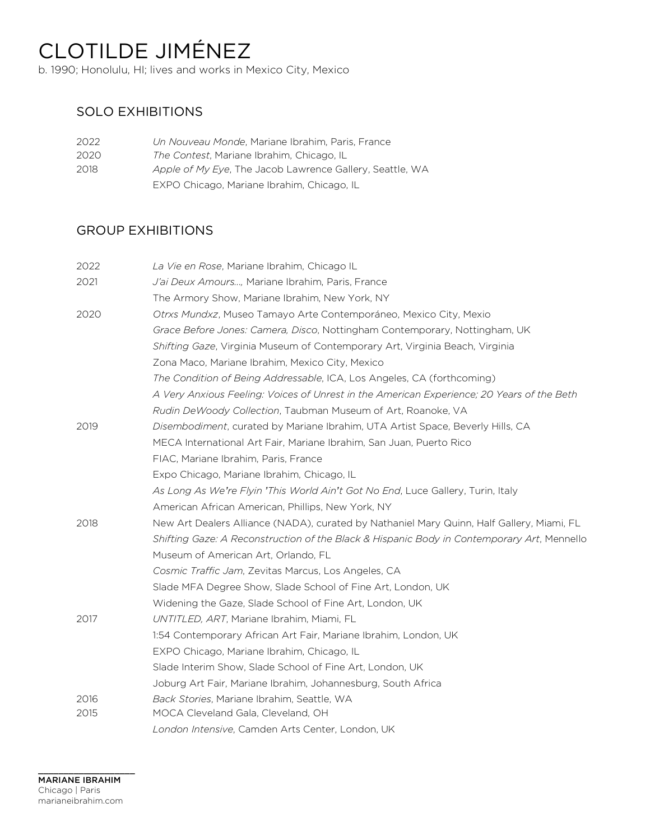# CLOTILDE JIMÉNEZ

b. 1990; Honolulu, HI; lives and works in Mexico City, Mexico

## SOLO EXHIBITIONS

| 2022 | Un Nouveau Monde, Mariane Ibrahim, Paris, France         |
|------|----------------------------------------------------------|
| 2020 | The Contest, Mariane Ibrahim, Chicago, IL                |
| 2018 | Apple of My Eye, The Jacob Lawrence Gallery, Seattle, WA |
|      | EXPO Chicago, Mariane Ibrahim, Chicago, IL               |

## GROUP EXHIBITIONS

| 2022 | La Vie en Rose, Mariane Ibrahim, Chicago IL                                                |
|------|--------------------------------------------------------------------------------------------|
| 2021 | J'ai Deux Amours, Mariane Ibrahim, Paris, France                                           |
|      | The Armory Show, Mariane Ibrahim, New York, NY                                             |
| 2020 | Otrxs Mundxz, Museo Tamayo Arte Contemporáneo, Mexico City, Mexio                          |
|      | Grace Before Jones: Camera, Disco, Nottingham Contemporary, Nottingham, UK                 |
|      | Shifting Gaze, Virginia Museum of Contemporary Art, Virginia Beach, Virginia               |
|      | Zona Maco, Mariane Ibrahim, Mexico City, Mexico                                            |
|      | The Condition of Being Addressable, ICA, Los Angeles, CA (forthcoming)                     |
|      | A Very Anxious Feeling: Voices of Unrest in the American Experience; 20 Years of the Beth  |
|      | Rudin DeWoody Collection, Taubman Museum of Art, Roanoke, VA                               |
| 2019 | Disembodiment, curated by Mariane Ibrahim, UTA Artist Space, Beverly Hills, CA             |
|      | MECA International Art Fair, Mariane Ibrahim, San Juan, Puerto Rico                        |
|      | FIAC, Mariane Ibrahim, Paris, France                                                       |
|      | Expo Chicago, Mariane Ibrahim, Chicago, IL                                                 |
|      | As Long As We're Flyin 'This World Ain't Got No End, Luce Gallery, Turin, Italy            |
|      | American African American, Phillips, New York, NY                                          |
| 2018 | New Art Dealers Alliance (NADA), curated by Nathaniel Mary Quinn, Half Gallery, Miami, FL  |
|      | Shifting Gaze: A Reconstruction of the Black & Hispanic Body in Contemporary Art, Mennello |
|      | Museum of American Art, Orlando, FL                                                        |
|      | Cosmic Traffic Jam, Zevitas Marcus, Los Angeles, CA                                        |
|      | Slade MFA Degree Show, Slade School of Fine Art, London, UK                                |
|      | Widening the Gaze, Slade School of Fine Art, London, UK                                    |
| 2017 | UNTITLED, ART, Mariane Ibrahim, Miami, FL                                                  |
|      | 1:54 Contemporary African Art Fair, Mariane Ibrahim, London, UK                            |
|      | EXPO Chicago, Mariane Ibrahim, Chicago, IL                                                 |
|      | Slade Interim Show, Slade School of Fine Art, London, UK                                   |
|      | Joburg Art Fair, Mariane Ibrahim, Johannesburg, South Africa                               |
| 2016 | Back Stories, Mariane Ibrahim, Seattle, WA                                                 |
| 2015 | MOCA Cleveland Gala, Cleveland, OH                                                         |
|      | London Intensive, Camden Arts Center, London, UK                                           |